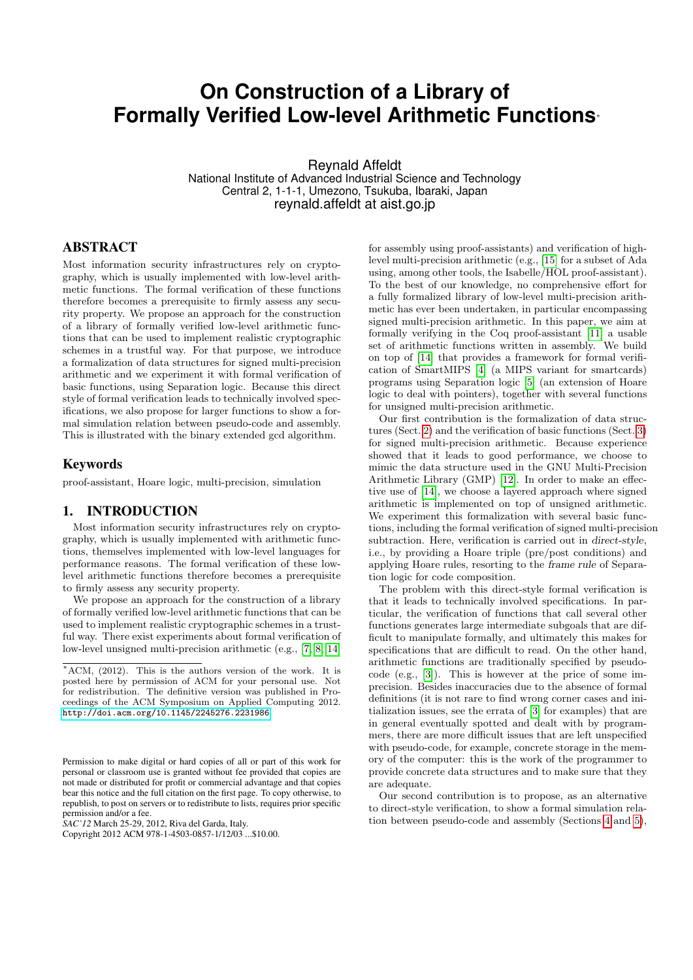# **On Construction of a Library of Formally Verified Low-level Arithmetic Functions**<sup>∗</sup>

Reynald Affeldt

National Institute of Advanced Industrial Science and Technology Central 2, 1-1-1, Umezono, Tsukuba, Ibaraki, Japan reynald.affeldt at aist.go.jp

# ABSTRACT

Most information security infrastructures rely on cryptography, which is usually implemented with low-level arithmetic functions. The formal verification of these functions therefore becomes a prerequisite to firmly assess any security property. We propose an approach for the construction of a library of formally verified low-level arithmetic functions that can be used to implement realistic cryptographic schemes in a trustful way. For that purpose, we introduce a formalization of data structures for signed multi-precision arithmetic and we experiment it with formal verification of basic functions, using Separation logic. Because this direct style of formal verification leads to technically involved specifications, we also propose for larger functions to show a formal simulation relation between pseudo-code and assembly. This is illustrated with the binary extended gcd algorithm.

#### Keywords

proof-assistant, Hoare logic, multi-precision, simulation

#### 1. INTRODUCTION

Most information security infrastructures rely on cryptography, which is usually implemented with arithmetic functions, themselves implemented with low-level languages for performance reasons. The formal verification of these lowlevel arithmetic functions therefore becomes a prerequisite to firmly assess any security property.

We propose an approach for the construction of a library of formally verified low-level arithmetic functions that can be used to implement realistic cryptographic schemes in a trustful way. There exist experiments about formal verification of low-level unsigned multi-precision arithmetic (e.g., [\[7,](#page-5-0) [8,](#page-5-1) [14\]](#page-5-2)

*SAC'12* March 25-29, 2012, Riva del Garda, Italy.

for assembly using proof-assistants) and verification of highlevel multi-precision arithmetic (e.g., [\[15\]](#page-5-3) for a subset of Ada using, among other tools, the Isabelle/HOL proof-assistant). To the best of our knowledge, no comprehensive effort for a fully formalized library of low-level multi-precision arithmetic has ever been undertaken, in particular encompassing signed multi-precision arithmetic. In this paper, we aim at formally verifying in the Coq proof-assistant [\[11\]](#page-5-4) a usable set of arithmetic functions written in assembly. We build on top of [\[14\]](#page-5-2) that provides a framework for formal verification of SmartMIPS [\[4\]](#page-5-5) (a MIPS variant for smartcards) programs using Separation logic [\[5\]](#page-5-6) (an extension of Hoare logic to deal with pointers), together with several functions for unsigned multi-precision arithmetic.

Our first contribution is the formalization of data structures (Sect. [2\)](#page-1-0) and the verification of basic functions (Sect. [3\)](#page-1-1) for signed multi-precision arithmetic. Because experience showed that it leads to good performance, we choose to mimic the data structure used in the GNU Multi-Precision Arithmetic Library (GMP) [\[12\]](#page-5-7). In order to make an effective use of [\[14\]](#page-5-2), we choose a layered approach where signed arithmetic is implemented on top of unsigned arithmetic. We experiment this formalization with several basic functions, including the formal verification of signed multi-precision subtraction. Here, verification is carried out in direct-style, i.e., by providing a Hoare triple (pre/post conditions) and applying Hoare rules, resorting to the frame rule of Separation logic for code composition.

The problem with this direct-style formal verification is that it leads to technically involved specifications. In particular, the verification of functions that call several other functions generates large intermediate subgoals that are difficult to manipulate formally, and ultimately this makes for specifications that are difficult to read. On the other hand, arithmetic functions are traditionally specified by pseudocode (e.g., [\[3\]](#page-5-8)). This is however at the price of some imprecision. Besides inaccuracies due to the absence of formal definitions (it is not rare to find wrong corner cases and initialization issues, see the errata of [\[3\]](#page-5-8) for examples) that are in general eventually spotted and dealt with by programmers, there are more difficult issues that are left unspecified with pseudo-code, for example, concrete storage in the memory of the computer: this is the work of the programmer to provide concrete data structures and to make sure that they are adequate.

Our second contribution is to propose, as an alternative to direct-style verification, to show a formal simulation relation between pseudo-code and assembly (Sections [4](#page-2-0) and [5\)](#page-3-0),

 $*ACM$ , (2012). This is the authors version of the work. It is posted here by permission of ACM for your personal use. Not for redistribution. The definitive version was published in Proceedings of the ACM Symposium on Applied Computing 2012. <http://doi.acm.org/10.1145/2245276.2231986>.

Permission to make digital or hard copies of all or part of this work for personal or classroom use is granted without fee provided that copies are not made or distributed for profit or commercial advantage and that copies bear this notice and the full citation on the first page. To copy otherwise, to republish, to post on servers or to redistribute to lists, requires prior specific permission and/or a fee.

Copyright 2012 ACM 978-1-4503-0857-1/12/03 ...\$10.00.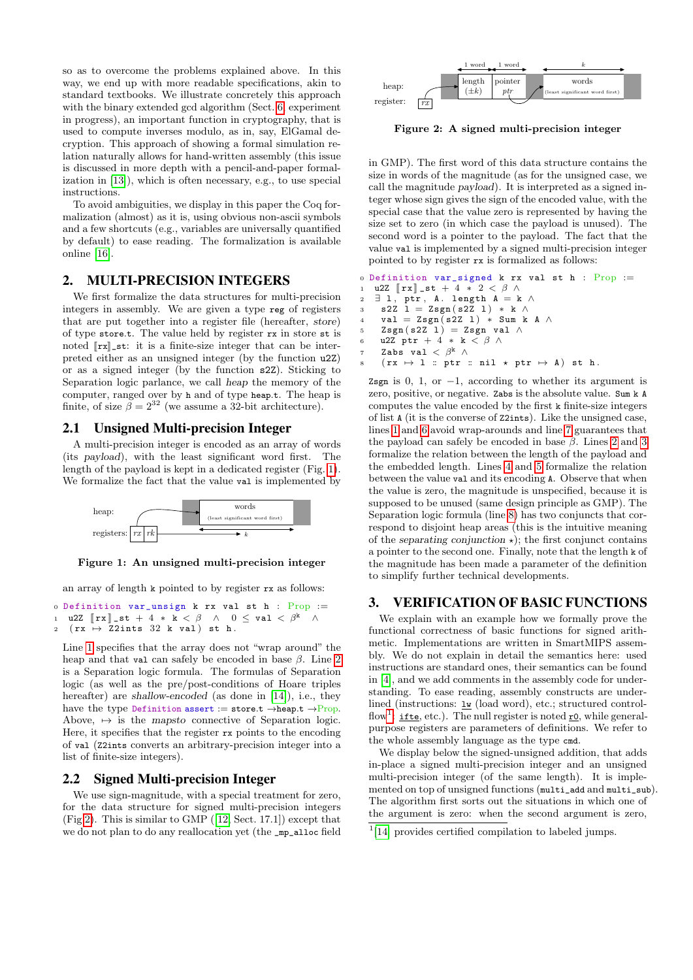so as to overcome the problems explained above. In this way, we end up with more readable specifications, akin to standard textbooks. We illustrate concretely this approach with the binary extended gcd algorithm (Sect. [6,](#page-4-0) experiment in progress), an important function in cryptography, that is used to compute inverses modulo, as in, say, ElGamal decryption. This approach of showing a formal simulation relation naturally allows for hand-written assembly (this issue is discussed in more depth with a pencil-and-paper formalization in [\[13\]](#page-5-9)), which is often necessary, e.g., to use special instructions.

To avoid ambiguities, we display in this paper the Coq formalization (almost) as it is, using obvious non-ascii symbols and a few shortcuts (e.g., variables are universally quantified by default) to ease reading. The formalization is available online [\[16\]](#page-5-10).

# <span id="page-1-0"></span>2. MULTI-PRECISION INTEGERS

We first formalize the data structures for multi-precision integers in assembly. We are given a type reg of registers that are put together into a register file (hereafter, store) of type store.t. The value held by register rx in store st is noted  $\lceil rx \rceil$  st: it is a finite-size integer that can be interpreted either as an unsigned integer (by the function u2Z) or as a signed integer (by the function s2Z). Sticking to Separation logic parlance, we call heap the memory of the computer, ranged over by h and of type heap.t. The heap is finite, of size  $\beta = 2^{32}$  (we assume a 32-bit architecture).

#### 2.1 Unsigned Multi-precision Integer

A multi-precision integer is encoded as an array of words (its payload), with the least significant word first. The length of the payload is kept in a dedicated register (Fig. [1\)](#page-1-2). We formalize the fact that the value val is implemented by



<span id="page-1-2"></span>Figure 1: An unsigned multi-precision integer

an array of length k pointed to by register rx as follows:

<span id="page-1-3"></span><sup>0</sup> Definition var\_unsign k rx val st h : Prop := 1 u2Z  $\left[\mathbf{r} \mathbf{x}\right]$  st + 4 \*  $\mathbf{k} < \beta \quad \wedge \quad 0 \leq \text{val} < \beta^{\mathbf{k}} \quad \wedge$ <br>2  $\left(\mathbf{r} \mathbf{x} \mapsto 72 \text{ints} \quad 32 \quad \mathbf{k} \quad \text{val} \right)$  st h.  $(rx \mapsto \overline{Z2ints} \ 32 \ k \ val) \ st \ h.$ 

<span id="page-1-4"></span>Line [1](#page-1-3) specifies that the array does not "wrap around" the heap and that val can safely be encoded in base  $\beta$ . Line [2](#page-1-4) is a Separation logic formula. The formulas of Separation logic (as well as the pre/post-conditions of Hoare triples hereafter) are shallow-encoded (as done in [\[14\]](#page-5-2)), i.e., they have the type Definition assert := store.t  $\rightarrow$ heap.t  $\rightarrow$ Prop. Above,  $\mapsto$  is the mapsto connective of Separation logic. Here, it specifies that the register rx points to the encoding of val (Z2ints converts an arbitrary-precision integer into a list of finite-size integers).

#### 2.2 Signed Multi-precision Integer

We use sign-magnitude, with a special treatment for zero, for the data structure for signed multi-precision integers (Fig [2\)](#page-1-5). This is similar to GMP ([\[12,](#page-5-7) Sect. 17.1]) except that we do not plan to do any reallocation yet (the \_mp\_alloc field



<span id="page-1-5"></span>Figure 2: A signed multi-precision integer

in GMP). The first word of this data structure contains the size in words of the magnitude (as for the unsigned case, we call the magnitude payload). It is interpreted as a signed integer whose sign gives the sign of the encoded value, with the special case that the value zero is represented by having the size set to zero (in which case the payload is unused). The second word is a pointer to the payload. The fact that the value val is implemented by a signed multi-precision integer pointed to by register rx is formalized as follows:

```
0 Definition var_signed k rx val st h : Prop :=
1 u2Z [\![rx]\!]_st + 4 * 2 < \beta \wedge<br>2 \exists 1, ptr, A, length A = k
   \exists 1, ptr, A. length A = k \lands2Z \ 1 = Zsgn(s2Z \ 1) * k \wedgeval = Zsgn(s2Z 1) * Sum k A \wedgeZsgn(s2Z_1) = Zsgn val \wedgeu2Z ptr + 4 * k < \beta \landZabs val <\beta^k \wedge(rx \mapsto 1 :: ptr :: nil \times ptr \mapsto A) st h.
 Zsgn is 0, 1, or -1, according to whether its argument is
```
<span id="page-1-13"></span><span id="page-1-8"></span><span id="page-1-7"></span>zero, positive, or negative. Zabs is the absolute value. Sum k A computes the value encoded by the first k finite-size integers of list A (it is the converse of Z2ints). Like the unsigned case, lines [1](#page-1-6) and [6](#page-1-7) avoid wrap-arounds and line [7](#page-1-8) guarantees that the payload can safely be encoded in base  $\beta$ . Lines [2](#page-1-9) and [3](#page-1-10) formalize the relation between the length of the payload and the embedded length. Lines [4](#page-1-11) and [5](#page-1-12) formalize the relation between the value val and its encoding A. Observe that when the value is zero, the magnitude is unspecified, because it is supposed to be unused (same design principle as GMP). The Separation logic formula (line [8\)](#page-1-13) has two conjuncts that correspond to disjoint heap areas (this is the intuitive meaning of the separating conjunction  $\star$ ); the first conjunct contains a pointer to the second one. Finally, note that the length k of the magnitude has been made a parameter of the definition to simplify further technical developments.

#### <span id="page-1-1"></span>3. VERIFICATION OF BASIC FUNCTIONS

We explain with an example how we formally prove the functional correctness of basic functions for signed arithmetic. Implementations are written in SmartMIPS assembly. We do not explain in detail the semantics here: used instructions are standard ones, their semantics can be found in [\[4\]](#page-5-5), and we add comments in the assembly code for understanding. To ease reading, assembly constructs are underlined (instructions:  $\underline{\mathbf{w}}$  (load word), etc.; structured control-flow<sup>[1](#page-1-14)</sup>: if the etc.). The null register is noted  $\underline{r0}$ , while generalpurpose registers are parameters of definitions. We refer to the whole assembly language as the type cmd.

We display below the signed-unsigned addition, that adds in-place a signed multi-precision integer and an unsigned multi-precision integer (of the same length). It is implemented on top of unsigned functions (multi\_add and multi\_sub). The algorithm first sorts out the situations in which one of the argument is zero: when the second argument is zero,

<span id="page-1-14"></span><sup>&</sup>lt;sup>1</sup>[\[14\]](#page-5-2) provides certified compilation to labeled jumps.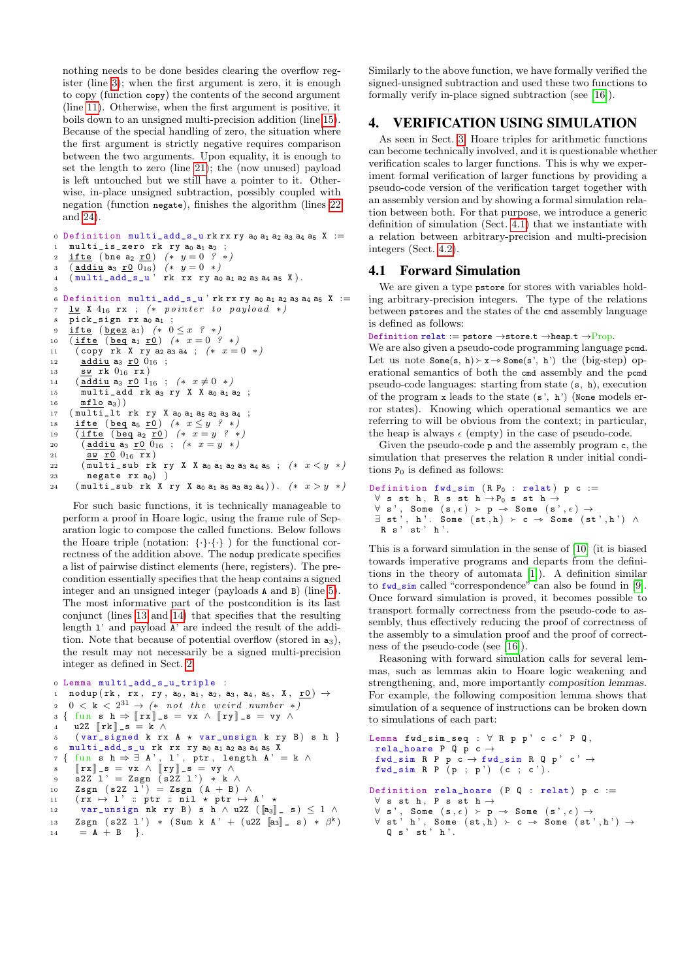nothing needs to be done besides clearing the overflow register (line 3); when the first argument is zero, it is enough to copy (function copy) the contents of the second argument (line 11). Otherwise, when the first argument is positive, it boils down to an unsigned multi-precision addition (line 15). Because of the special handling of zero, the situation where the first argument is strictly negative requires comparison between the two arguments. Upon equality, it is enough to set the length to zero (line 21); the (now unused) payload is left untouched but we still have a pointer to it. Otherwise, in-place unsigned subtraction, possibly coupled with negation (function negate), finishes the algorithm (lines 22 and  $24$ ).

<span id="page-2-2"></span><span id="page-2-1"></span>o Definition multi\_add\_s\_urkrxry  $a_0$   $a_1$   $a_2$   $a_3$   $a_4$   $a_5$  X :=  $multi_is\_zero$  rk ry  $a_0$   $a_1$   $a_2$  ;  $\frac{\text{ifte (bne a_2 r0) } (* y = 0 ? *)}{(\underline{\text{addiu a_3 r0 0}}_{16}) (* y = 0 *)}$ <br>  $(\text{multi\_add_s_u'} \cdot \text{rk rx ry a_0 a_1 a_2 a_3 a_4 a_5 X}).$  $\sim$  $\overline{3}$ Definition multi\_add\_s\_u 'rk rx ry ao a<sub>1</sub> a<sub>2</sub> a<sub>3</sub> a<sub>4</sub> a<sub>5</sub> X :=  $\kappa$  $\underline{\mathbf{1}}\mathbf{w}$  X  $4_{16}$  rx ; (\* pointer to payload \*)  $\overline{7}$  $\overline{\text{pick\_sign}}$  rx  $a_0 a_1$ ifte (bgez a<sub>1</sub>)  $(* 0 \leq x$  ? \*)  $(\text{ifte} (\text{beg a}_1 \text{r0}) (\ast x = 0 \overset{\frown}{?} \ast)$  $10$  $(\texttt{copy rk X ry a_2 a_3 a_4}\ ;\ ( * \ x = 0 \ *\ )$  $11$ addiu a<sub>3</sub>  $r0$   $0_{16}$  ;  $12$ sw rk  $0_{16}$  rx) 13  $(\overline{\text{addiu}} \text{ a}_3 \text{ r0 } 1_{16}; (* x \neq 0 *)$  $14$  $\overline{\text{multi\_add}}$  rk as ry X X ao as az ;  $15$ 16  $mflo$  a<sub>3</sub>))  $(multi_lt$  rk ry X ao a<sub>1</sub> a<sub>5</sub> a<sub>2</sub> a<sub>3</sub> a<sub>4</sub> ;  $17$ 18 ifte (beq as r0)  $(* x \leq y$  ? \*)  $\overline{(\text{ifte})(\text{beg a}_2 \cdot \overline{r0})}$  (\*  $x = y$  ? \*) 19  $\overline{(\text{addi u a}_{3} r0 0_{16})};$   $(* x = y * )$ 20 21 sw r0  $0_{16}$  rx) (multi\_sub rk ry X X a<sub>0</sub> a<sub>1</sub> a<sub>2</sub> a<sub>3</sub> a<sub>4</sub> a<sub>5</sub> ;  $(* x < y * )$ 22 23  $negate$  rx  $a_0$ ) )  $(\text{multi\_sub } rk X \text{ ry } X a_0 a_1 a_5 a_3 a_2 a_4))$ .  $(* x > y * )$ 24

<span id="page-2-6"></span><span id="page-2-5"></span><span id="page-2-4"></span><span id="page-2-3"></span>For such basic functions, it is technically manageable to perform a proof in Hoare logic, using the frame rule of Separation logic to compose the called functions. Below follows the Hoare triple (notation:  $\{\cdot\}, \{\cdot\}, \cdot\}$ ) for the functional correctness of the addition above. The nodup predicate specifies a list of pairwise distinct elements (here, registers). The precondition essentially specifies that the heap contains a signed integer and an unsigned integer (payloads A and B) (line 5). The most informative part of the postcondition is its last conjunct (lines 13 and 14) that specifies that the resulting length 1' and payload A' are indeed the result of the addition. Note that because of potential overflow (stored in  $a_3$ ), the result may not necessarily be a signed multi-precision integer as defined in Sect. 2.

```
o Lemma multi_add_s_u_triple :
        \verb"nodup" (rk \, , \, rx \, , \, ry \, , \, a_0 \, , \, a_1 \, , \, a_2 \, , \, a_3 \, , \, a_4 \, , \, a_5 \, , \, X \, , \, \underline{\hspace{0.3cm}r\, 0} \, ) \, \rightarrow\mathbf{1}0 < k < 2^{31} \rightarrow (*) not the weird number *)\overline{2}\left\{ \begin{array}{c} \text{fun}\ \ \mathbf{s}\ \ \mathbf{h} \Rightarrow \llbracket \mathbf{r} \mathbf{x} \rrbracket \_\mathbf{s} \,=\, \mathbf{v} \mathbf{x}\;\wedge\;\llbracket \mathbf{r} \mathbf{y} \rrbracket \_\mathbf{s} \,=\, \mathbf{v} \mathbf{y}\;\wedge\;\;\quad \end{array} \right.\overline{3}u2Z [rk] -s = k \wedge\overline{A}\{ var\_signed \; k \; rx \; A \; \star \; var\_unsign \; k \; ry \; B) \; s \; h \; \}\overline{5}multi_add_s_u rk rx ry a<sub>0</sub> a<sub>1</sub> a<sub>2</sub> a<sub>3</sub> a<sub>4</sub> a<sub>5</sub> X
           fun s h \rightarrow \exists A', 1', ptr, length A' = k \wedge<br>
[\![rx]\!]_{-s} = vx \wedge [\![ry]\!]_{-s} = vy \wedge\overline{7}\{s2Z 1' = Zsgn (s2Z 1') * k \wedge\OmegaZsgn (s2Z\ 1^{\circ})\stackrel{\cdot}{=}Zsgn\ (A + B)\ \wedge10(\overline{\texttt{rx}} \ \mapsto \ 1 \ ) : \overline{\texttt{ptr}} : \overline{\texttt{nil}} \ \star \ \texttt{ptr} \ \mapsto \ \texttt{A} \11var_unsign nk ry B) s h \wedge u2Z (\begin{bmatrix} a_3 \end{bmatrix} s) < 1 \wedge\overline{12}Zsgn (s2Z 1') * (Sum k A' + (u2Z \begin{bmatrix} 1 \\ 3 \end{bmatrix} s) * \beta^k)
\overline{13}14= A + B}.
```
Similarly to the above function, we have formally verified the signed-unsigned subtraction and used these two functions to formally verify in-place signed subtraction (see  $[16]$ ).

#### <span id="page-2-0"></span>**VERIFICATION USING SIMULATION** 4.

As seen in Sect. 3. Hoare triples for arithmetic functions can become technically involved, and it is questionable whether verification scales to larger functions. This is why we experiment formal verification of larger functions by providing a pseudo-code version of the verification target together with an assembly version and by showing a formal simulation relation between both. For that purpose, we introduce a generic definition of simulation (Sect. 4.1) that we instantiate with a relation between arbitrary-precision and multi-precision integers (Sect. 4.2).

#### <span id="page-2-10"></span>**4.1 Forward Simulation**

We are given a type pstore for stores with variables holding arbitrary-precision integers. The type of the relations between pstores and the states of the cmd assembly language is defined as follows:

Definition relat := pstore  $\rightarrow$ store.t  $\rightarrow$ heap.t  $\rightarrow$ Prop.

We are also given a pseudo-code programming language pcmd. Let us note  $Some(s, h) \rightarrow x \rightarrow Some(s', h')$  the (big-step) operational semantics of both the cmd assembly and the pond pseudo-code languages: starting from state (s, h), execution of the program  $x$  leads to the state  $(s', h')$  (None models error states). Knowing which operational semantics we are referring to will be obvious from the context; in particular, the heap is always  $\epsilon$  (empty) in the case of pseudo-code.

Given the pseudo-code  $p$  and the assembly program  $c$ , the simulation that preserves the relation R under initial conditions  $P_0$  is defined as follows:

```
Definition fwd\_sim (R P_0 : relat) p c :=\forall \text{ s st h, R s st h} \rightarrow P_0 \text{ s st h} \rightarrow\forall s, Some (s, \epsilon) > p \rightarrow Some (s', \epsilon) \rightarrow<br>
\exists st', h'. Some (st, h) > c \rightarrow Some (st', h') \wedge<br>
R s' st' h'.
```
This is a forward simulation in the sense of [10] (it is biased towards imperative programs and departs from the definitions in the theory of automata  $[1]$ ). A definition similar to fwd\_sim called "correspondence" can also be found in [9]. Once forward simulation is proved, it becomes possible to transport formally correctness from the pseudo-code to assembly, thus effectively reducing the proof of correctness of the assembly to a simulation proof and the proof of correctness of the pseudo-code (see [16]).

Reasoning with forward simulation calls for several lemmas, such as lemmas akin to Hoare logic weakening and strengthening, and, more importantly composition lemmas. For example, the following composition lemma shows that simulation of a sequence of instructions can be broken down to simulations of each part:

```
Lemma fwd_sim_seq : \forall R p p' c c' P Q,
 rela_hoare P Q p c \rightarrowfwd\_sim\;\;R\;\;P\;\;p\;\;c\;\rightarrow\;fwd\_sim\;\;R\;\;Q\;\;p\;\dot{ }\;\;c\;\dot{ }\;\rightarrow\;fwd_sim R P (p ; p') (c ; c').Definition rela_hoare (P Q : relat) p c :=\forall s st h, P s st h \rightarrowv s', Some (s, \epsilon) \rightarrow p \rightarrow Some (s', \epsilon) \rightarrow<br>
v st' h', Some (st, h) \rightarrow c \rightarrow Some (st', h') \rightarrow<br>
Q s' st' h'.
```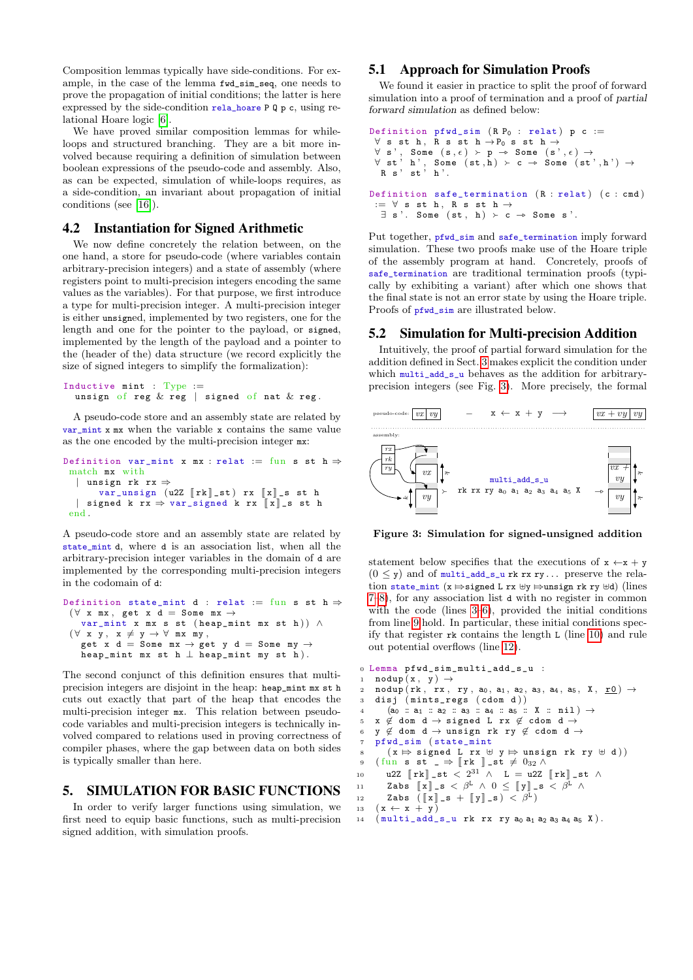Composition lemmas typically have side-conditions. For example, in the case of the lemma fwd\_sim\_seq, one needs to prove the propagation of initial conditions; the latter is here expressed by the side-condition rela\_hoare P Q p c, using relational Hoare logic [\[6\]](#page-5-14).

We have proved similar composition lemmas for whileloops and structured branching. They are a bit more involved because requiring a definition of simulation between boolean expressions of the pseudo-code and assembly. Also, as can be expected, simulation of while-loops requires, as a side-condition, an invariant about propagation of initial conditions (see [\[16\]](#page-5-10)).

### <span id="page-3-1"></span>4.2 Instantiation for Signed Arithmetic

We now define concretely the relation between, on the one hand, a store for pseudo-code (where variables contain arbitrary-precision integers) and a state of assembly (where registers point to multi-precision integers encoding the same values as the variables). For that purpose, we first introduce a type for multi-precision integer. A multi-precision integer is either unsigned, implemented by two registers, one for the length and one for the pointer to the payload, or signed, implemented by the length of the payload and a pointer to the (header of the) data structure (we record explicitly the size of signed integers to simplify the formalization):

```
Inductive mint : Type :=
  unsign of reg \& reg | signed of nat \& reg.
```
A pseudo-code store and an assembly state are related by var\_mint x mx when the variable x contains the same value as the one encoded by the multi-precision integer mx:

```
Definition var_mint x mx : relat := fun s st h \Rightarrowmatch mx with
  | unsign rk rx ⇒
        var\_unsign (u2Z [\![rk]\!] \_st) rx [\![x]\!] \_s st h
    signed k rx \Rightarrow var\_signed k rx \rVert x \rVert s st h
 end .
```
A pseudo-code store and an assembly state are related by state\_mint d, where d is an association list, when all the arbitrary-precision integer variables in the domain of d are implemented by the corresponding multi-precision integers in the codomain of d:

```
Definition state_mint d : relat := fun s st h \Rightarrow(\forall \begin{array}{cccc} x & mx \end{array}, get \begin{array}{cccc} x & d \end{array} = \begin{array}{cccc} Some & mx \end{array} \rightarrowvar_mint x mx s st (heap_mint mx st h)) \wedge(\forall x y, x \neq y \rightarrow \forall mx my,get x d = Some mx \rightarrow get y d = Some my \rightarrowheap_mint mx st h \perp heap_mint my st h).
```
The second conjunct of this definition ensures that multiprecision integers are disjoint in the heap: heap\_mint mx st h cuts out exactly that part of the heap that encodes the multi-precision integer mx. This relation between pseudocode variables and multi-precision integers is technically involved compared to relations used in proving correctness of compiler phases, where the gap between data on both sides is typically smaller than here.

# <span id="page-3-0"></span>5. SIMULATION FOR BASIC FUNCTIONS

In order to verify larger functions using simulation, we first need to equip basic functions, such as multi-precision signed addition, with simulation proofs.

#### 5.1 Approach for Simulation Proofs

We found it easier in practice to split the proof of forward simulation into a proof of termination and a proof of partial forward simulation as defined below:

```
Definition pfwd\_sim (R P_0 : relat) p c :=\forall s st h, R s st h \rightarrow P0 s st h \rightarrow\forall s', Some (s, \epsilon) ≻ p → Some (s', \epsilon) → \forall st', h', Some (st, h) \searrow c → Some (st,
 \forall st' h', Some (st, h) \succ c \rightarrow Some (st', h') \rightarrow R s' st' h'.
Definition safe_termination (R : relat) (c : cmd):= \forall s st h, R s st h \rightarrow\exists s'. Some (st, h) \succ c \rightarrow Some s'.
```
Put together, pfwd\_sim and safe\_termination imply forward simulation. These two proofs make use of the Hoare triple of the assembly program at hand. Concretely, proofs of safe\_termination are traditional termination proofs (typically by exhibiting a variant) after which one shows that the final state is not an error state by using the Hoare triple. Proofs of pfwd\_sim are illustrated below.

# 5.2 Simulation for Multi-precision Addition

Intuitively, the proof of partial forward simulation for the addition defined in Sect. [3](#page-1-1) makes explicit the condition under which multi\_add\_s\_u behaves as the addition for arbitraryprecision integers (see Fig. [3\)](#page-3-2). More precisely, the formal



<span id="page-3-2"></span>Figure 3: Simulation for signed-unsigned addition

statement below specifies that the executions of  $x \leftarrow x + y$  $(0 \le y)$  and of multi\_add\_s\_u rk rx ry... preserve the relation state\_mint (x  $\Rightarrow$  signed L rx  $\forall y \Rightarrow$ unsign rk ry  $\forall d$ ) (lines [7](#page-3-3)[–8\)](#page-3-4), for any association list d with no register in common with the code (lines [3–](#page-3-5)[6\)](#page-3-6), provided the initial conditions from line [9](#page-3-7) hold. In particular, these initial conditions specify that register rk contains the length L (line [10\)](#page-3-8) and rule out potential overflows (line [12\)](#page-3-9).

```
0 Lemma pfwd_sim_multi_add_s_u :
  1 \modup (x, y) \rightarrow2 nodup (rk, rx, ry, a<sub>0</sub>, a<sub>1</sub>, a<sub>2</sub>, a<sub>3</sub>, a<sub>4</sub>, a<sub>5</sub>, X, r0) \rightarrow3 disj ( mints_regs ( cdom d ) )
  4 (a<sub>0</sub> :: a<sub>1</sub> :: a<sub>2</sub> :: a<sub>3</sub> :: a<sub>4</sub> :: a<sub>5</sub> :: X :: nil) \rightarrow5 x \notin dom d \rightarrow signed L rx \notin cdom d \rightarrow6 y \notin dom d \rightarrow unsign rk ry \notin cdom d \rightarrow7 pfwd_sim ( state_mint
  8 ( x \mapsto signed L rx \oplus y \mapsto unsign rk ry \oplus d ) ) <br>9 (fun s st \Rightarrow [rk ] st \neq 030 \wedge9 ( fun s st _ \Rightarrow \left[ rk \right] _ st \neq 0<sub>32</sub> \land<br>10 1127. \left[ rk \right] st \lt 2^{31} \land L = 1127.
10 u2Z \left[ \mathbf{r} \mathbf{k} \right] st \langle 2^{31} \wedge \mathbf{L} = u2Z \left[ \mathbf{r} \mathbf{k} \right] st \wedge11 Zabs \begin{bmatrix} x \\ x \end{bmatrix} - s < \beta^L \wedge 0 \leq \begin{bmatrix} y \\ x \end{bmatrix} - s \leq \beta^L \wedge 0<br>12 Zabs (\begin{bmatrix} x \\ x \end{bmatrix} s + \begin{bmatrix} y \\ y \end{bmatrix} s) < \beta^L12 Zabs ([\![x]\!]_s + [\![y]\!]_s) < \beta^L\mathbf{13} \quad (\, \mathbf{x} \,\leftarrow\, \mathbf{x} \,\,+\,\, \mathbf{y}\,)
```

```
14 (multi_add_s_u rk rx ry a_0 a_1 a_2 a_3 a_4 a_5 X).
```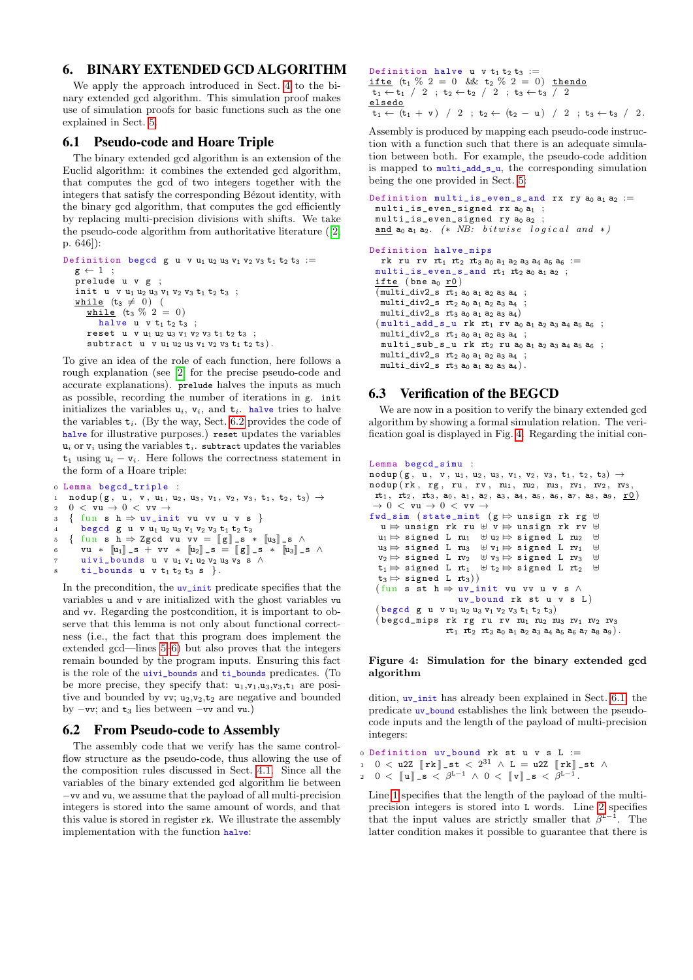# <span id="page-4-0"></span>6. BINARY EXTENDED GCD ALGORITHM

We apply the approach introduced in Sect. [4](#page-2-0) to the binary extended gcd algorithm. This simulation proof makes use of simulation proofs for basic functions such as the one explained in Sect. [5.](#page-3-0)

### <span id="page-4-5"></span>6.1 Pseudo-code and Hoare Triple

The binary extended gcd algorithm is an extension of the Euclid algorithm: it combines the extended gcd algorithm, that computes the gcd of two integers together with the integers that satisfy the corresponding Bézout identity, with the binary gcd algorithm, that computes the gcd efficiently by replacing multi-precision divisions with shifts. We take the pseudo-code algorithm from authoritative literature ([\[2,](#page-5-15) p. 646]):

```
Definition begcd g u v u<sub>1</sub> u<sub>2</sub> u<sub>3</sub> v<sub>1</sub> v<sub>2</sub> v<sub>3</sub> t<sub>1</sub> t<sub>2</sub> t<sub>3</sub> :=
    g \leftarrow 1 ;
     prelude u v g ;
     init u v u<sub>1</sub> u<sub>2</sub> u<sub>3</sub> v<sub>1</sub> v<sub>2</sub> v<sub>3</sub> t<sub>1</sub> t<sub>2</sub> t<sub>3</sub> ;
    while (t_3 \neq 0) (
          \underline{\text{while}} (t<sub>3</sub> % 2 = 0)
              halve u \t v t_1 t_2 t_3;
          reset u v u_1 u_2 u_3 v_1 v_2 v_3 t_1 t_2 t_3;
          subtract u v u_1 u_2 u_3 v_1 v_2 v_3 t_1 t_2 t_3).
```
To give an idea of the role of each function, here follows a rough explanation (see [\[2\]](#page-5-15) for the precise pseudo-code and accurate explanations). prelude halves the inputs as much as possible, recording the number of iterations in g. init initializes the variables  $u_i$ ,  $v_i$ , and  $t_i$ . halve tries to halve the variables  $t_i$ . (By the way, Sect. [6.2](#page-4-1) provides the code of halve for illustrative purposes.) reset updates the variables  $u_i$  or  $v_i$  using the variables  $t_i$ . subtract updates the variables  $t_i$  using  $u_i - v_i$ . Here follows the correctness statement in the form of a Hoare triple:

```
0 Lemma begcd_triple :
_{1} nodup({\rm g \, , \, u \, , \, v \, , \, u_{1}, \, u_{2}, \, u_{3}, \, v_{1}, \, v_{2}, \, v_{3}, \, t_{1}, \, t_{2}, \, t_{3}) \rightarrow2 0 < vu \rightarrow 0 < vv \rightarrow3 \{ \text{fun } s \text{ } h \Rightarrow uv\_init \text{ } vu \text{ } vv \text{ } u \text{ } v \text{ } s \}begcd g u v u<sub>1</sub> u<sub>2</sub> u<sub>3</sub> v<sub>1</sub> v<sub>2</sub> v<sub>3</sub> t<sub>1</sub> t<sub>2</sub> t<sub>3</sub>
5 \left\{\begin{array}{c} \text{fun } s \text{ } h \Rightarrow \text{Zgcd} \text{ vu } \text{vv} = \llbracket g \rrbracket_s * \llbracket u_3 \rrbracket_s \text{ s } \wedge \text{vu} * \llbracket u_3 \rrbracket_s + \text{vv} * \llbracket u_3 \rrbracket_s = \llbracket g \rrbracket \text{ s } * \llbracket u_3 \rrbracket_s \end{array}\right.vu * [\![u_1]\!]_s + vv * [\![u_2]\!]_s = [\![g]\!]_s * [\![u_3]\!]_s \wedgeuivi_bounds u v u<sub>1</sub> v<sub>1</sub> u<sub>2</sub> v<sub>2</sub> u<sub>3</sub> v<sub>3</sub> s \landti\_bounds u v t_1 t_2 t_3 s \}.
```
<span id="page-4-3"></span>In the precondition, the uv\_init predicate specifies that the variables u and v are initialized with the ghost variables vu and vv. Regarding the postcondition, it is important to observe that this lemma is not only about functional correctness (i.e., the fact that this program does implement the extended gcd—lines [5](#page-4-2)[–6\)](#page-4-3) but also proves that the integers remain bounded by the program inputs. Ensuring this fact is the role of the uivi\_bounds and ti\_bounds predicates. (To be more precise, they specify that:  $u_1, v_1, u_3, v_3, t_1$  are positive and bounded by  $vv$ ;  $u_2,v_2,t_2$  are negative and bounded by  $-vv$ ; and  $t_3$  lies between  $-vv$  and vu.)

#### <span id="page-4-1"></span>6.2 From Pseudo-code to Assembly

The assembly code that we verify has the same controlflow structure as the pseudo-code, thus allowing the use of the composition rules discussed in Sect. [4.1.](#page-2-10) Since all the variables of the binary extended gcd algorithm lie between −vv and vu, we assume that the payload of all multi-precision integers is stored into the same amount of words, and that this value is stored in register rk. We illustrate the assembly implementation with the function halve:

```
Definition halve u v t_1 t_2 t_3 :=ifte (t_1 \% 2 = 0 \& t_2 \% 2 = 0) thendo
 \overline{t_1 \leftarrow t_1} / 2 ; t_2 \leftarrow t_2 / 2 ; t_3 \leftarrow t_3 / 2
elsedo
 \overline{t_1 \leftarrow (t_1 + v) / 2}; t_2 \leftarrow (t_2 - u) / 2; t_3 \leftarrow t_3 / 2.
```
Assembly is produced by mapping each pseudo-code instruction with a function such that there is an adequate simulation between both. For example, the pseudo-code addition is mapped to multi\_add\_s\_u, the corresponding simulation being the one provided in Sect. [5:](#page-3-0)

```
Definition multi_is_even_s_and rx ry a_0 a_1 a_2 :=
  multi_is\_even\_signed rx a_0 a_1;
  multi_is\_even\_signed ry a_0 a_2and a<sub>0</sub> a<sub>1</sub> a<sub>2</sub>. (* NB: bitwise logical and *)
Definition halve_mips
    rk ru rv rt<sub>1</sub> rt<sub>2</sub> rt<sub>3</sub> a<sub>0</sub> a<sub>1</sub> a<sub>2</sub> a<sub>3</sub> a<sub>4</sub> a<sub>5</sub> a<sub>6</sub> :=
  multi_is_even_s_and rt_1 rt_2 a_0 a_1 a_2 ;
  \underline{\text{ifte}} (bne a<sub>0</sub> <u>r0</u>)
  \overline{(\text{multi\_div2}_{s} \text{ rt}_1 \text{ a}_0 \text{ a}_1 \text{ a}_2 \text{ a}_3 \text{ a}_4)}multi\_div2_s rt_2 a_0 a_1 a_2 a_3 a_4multi_div2_s rt_3 a<sub>0</sub> a<sub>1</sub> a<sub>2</sub> a<sub>3</sub> a<sub>4</sub>)
  (multi\_add_s_u rk rt<sub>1</sub> rv a_0 a<sub>1</sub> a<sub>2</sub> a<sub>3</sub> a<sub>4</sub> a<sub>5</sub> a<sub>6</sub> ;
```

```
multi_div2_s rt_1 a<sub>0</sub> a<sub>1</sub> a<sub>2</sub> a<sub>3</sub> a<sub>4</sub> ;
multi_sub_s_u rk rt2 ru a0 a1 a2 a3 a4 a5 a6 ;
multi\_div2_s rt_2 a_0 a_1 a_2 a_3 a_4;
multi\_div2_s rt_3 a<sub>0</sub> a<sub>1</sub> a<sub>2</sub> a<sub>3</sub> a<sub>4</sub>).
```
# 6.3 Verification of the BEGCD

We are now in a position to verify the binary extended gcd algorithm by showing a formal simulation relation. The verification goal is displayed in Fig. [4.](#page-4-4) Regarding the initial con-

```
Lemma begcd_simu :
\texttt{nodup}\left(\,g\,,\begin{array}{l}\mathtt{u}\,,\end{array}\right. v\,,\begin{array}{l}\mathtt{u}_1\,,\mathtt{u}_2\,,\mathtt{u}_3\,,\end{array}\mathtt{v}_1\,,\hspace{1pt}\mathtt{v}_2\,,\hspace{1pt}\mathtt{v}_3\,,\hspace{1pt}\mathtt{t}_1\,,\hspace{1pt}\mathtt{t}_2\,,\hspace{1pt}\mathtt{t}_3\right)\,\rightarrow\texttt{nodup}( \texttt{rk} , \texttt{rg} , \texttt{ru} , \texttt{rv} , \texttt{ru}_1 , \texttt{ru}_2 , \texttt{ru}_3 , \texttt{rv}_1 , \texttt{rv}_2 , \texttt{rv}_3rt_1, rt_2, rt_3, a_0, a_1, a_2, a_3, a_4, a_5, a_6, a_7, a_8, a_9, r0)
     \rightarrow 0 < vu \rightarrow 0 < vv \rightarrowfwd_sim (state_mint (g \Leftrightarrow unsign rk rg \forall u \Rightarrow unsign rk rv \forallu \Rightarrow unsign rk ru \oplus v \Rightarrow unsign rk rv \oplus<br>u \Rightarrow signed I nu \oplus unstrained I nu \oplusu_1 \mapsto signed L u_1 \oplus u_2 \mapsto signed L u_2 \oplus<br>u_3 \mapsto signed L u_1 \oplus u_2 \oplus signed L u_4 \oplusu<sub>3</sub> \Rightarrow signed L ru<sub>3</sub> \forall V<sub>1</sub> \Rightarrow signed L rv<sub>1</sub> \forall v<sub>1</sub> \Rightarrow v<sub>1</sub> \forall v<sub>1</sub> \forall v<sub>1</sub> \forall v<sub>1</sub> \forall v<sub>1</sub> \forall v<sub>1</sub> \forall v<sub>1</sub> \forall v<sub>1</sub> \forall v<sub>1</sub> \forall v<sub>1</sub> \forall v<sub>1</sub> \forall v<sub>1</sub> \forall v<sub>1</sub> \forall v<sub>1</sub> \forall v<sub>1</sub> \forall 
    v_2 \Rightarrow signed L rv_2 \oplus v_3 \Rightarrow signed L rv_3 \oplus<br>t_1 \Rightarrow signed L rt_1 \oplus t_2 \Rightarrow signed L rt_2 \oplus\forall t_1 \mapsto \exists signed L rt<sub>2</sub>
    t_3 \mapsto signed L rt<sub>3</sub>))
   (fun s st h \Rightarrow uv_init vu vv u v s \wedgeuv_bound rk st u v s L )
    (\text{begcd } g u v u_1 u_2 u_3 v_1 v_2 v_3 t_1 t_2 t_3)\alpha begcd_mips rk rg ru rv m_1 m_2 m_3 rv_1 rv_2 rv_3rt_1 rt_2 rt_3 a_0 a_1 a_2 a_3 a_4 a_5 a_6 a_7 a_8 a_9).
```
#### <span id="page-4-4"></span>Figure 4: Simulation for the binary extended gcd algorithm

dition, uv\_init has already been explained in Sect. [6.1;](#page-4-5) the predicate uv\_bound establishes the link between the pseudocode inputs and the length of the payload of multi-precision integers:

- $0$  Definition uv\_bound rk st u v s L :=
- <span id="page-4-6"></span>1 0  $\lt$  u2Z  $[\![\n\mathbf{r}\n\mathbf{k}\!]$   $\mathbf{st} \lt 2^{31} \wedge \mathbf{L} = \mathbf{u}2\mathbf{Z} \left[\![\n\mathbf{r}\n\mathbf{k}\right]\!]$   $\mathbf{st} \wedge$

<span id="page-4-7"></span>2  $0 < \llbracket \mathbf{u} \rrbracket_{-\mathbf{s}} < \beta^{\mathbf{L}-1} \wedge 0 < \llbracket \mathbf{v} \rrbracket_{-\mathbf{s}} < \beta^{\mathbf{L}-1}$ .

Line [1](#page-4-6) specifies that the length of the payload of the multiprecision integers is stored into L words. Line [2](#page-4-7) specifies that the input values are strictly smaller that  $\beta^{L-1}$ . The latter condition makes it possible to guarantee that there is